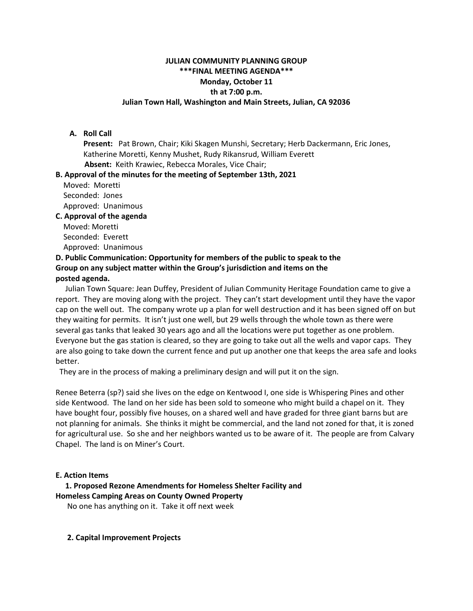# **JULIAN COMMUNITY PLANNING GROUP \*\*\*FINAL MEETING AGENDA\*\*\* Monday, October 11 th at 7:00 p.m. Julian Town Hall, Washington and Main Streets, Julian, CA 92036**

## **A. Roll Call**

**Present:** Pat Brown, Chair; Kiki Skagen Munshi, Secretary; Herb Dackermann, Eric Jones, Katherine Moretti, Kenny Mushet, Rudy Rikansrud, William Everett **Absent:** Keith Krawiec, Rebecca Morales, Vice Chair;

#### **B. Approval of the minutes for the meeting of September 13th, 2021**

Moved: Moretti Seconded: Jones Approved: Unanimous

#### **C. Approval of the agenda**

Moved: Moretti Seconded: Everett

Approved: Unanimous

#### **D. Public Communication: Opportunity for members of the public to speak to the Group on any subject matter within the Group's jurisdiction and items on the posted agenda.**

 Julian Town Square: Jean Duffey, President of Julian Community Heritage Foundation came to give a report. They are moving along with the project. They can't start development until they have the vapor cap on the well out. The company wrote up a plan for well destruction and it has been signed off on but they waiting for permits. It isn't just one well, but 29 wells through the whole town as there were several gas tanks that leaked 30 years ago and all the locations were put together as one problem. Everyone but the gas station is cleared, so they are going to take out all the wells and vapor caps. They are also going to take down the current fence and put up another one that keeps the area safe and looks better.

They are in the process of making a preliminary design and will put it on the sign.

Renee Beterra (sp?) said she lives on the edge on Kentwood I, one side is Whispering Pines and other side Kentwood. The land on her side has been sold to someone who might build a chapel on it. They have bought four, possibly five houses, on a shared well and have graded for three giant barns but are not planning for animals. She thinks it might be commercial, and the land not zoned for that, it is zoned for agricultural use. So she and her neighbors wanted us to be aware of it. The people are from Calvary Chapel. The land is on Miner's Court.

#### **E. Action Items**

 **1. Proposed Rezone Amendments for Homeless Shelter Facility and Homeless Camping Areas on County Owned Property**

No one has anything on it. Take it off next week

#### **2. Capital Improvement Projects**